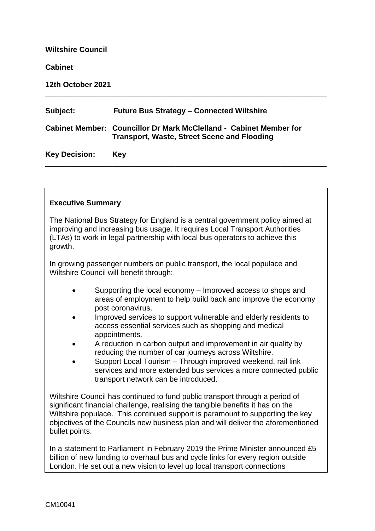# **Wiltshire Council Cabinet 12th October 2021** \_\_\_\_\_\_\_\_\_\_\_\_\_\_\_\_\_\_\_\_\_\_\_\_\_\_\_\_\_\_\_\_\_\_\_\_\_\_\_\_\_\_\_\_\_\_\_\_\_\_\_\_\_\_\_\_\_\_\_\_\_\_\_\_\_\_\_ **Subject: Future Bus Strategy – Connected Wiltshire Cabinet Member: Councillor Dr Mark McClelland - Cabinet Member for Transport, Waste, Street Scene and Flooding Key Decision: Key**

\_\_\_\_\_\_\_\_\_\_\_\_\_\_\_\_\_\_\_\_\_\_\_\_\_\_\_\_\_\_\_\_\_\_\_\_\_\_\_\_\_\_\_\_\_\_\_\_\_\_\_\_\_\_\_\_\_\_\_\_\_\_\_\_\_\_\_

## **Executive Summary**

The National Bus Strategy for England is a central government policy aimed at improving and increasing bus usage. It requires Local Transport Authorities (LTAs) to work in legal partnership with local bus operators to achieve this growth.

In growing passenger numbers on public transport, the local populace and Wiltshire Council will benefit through:

- Supporting the local economy Improved access to shops and areas of employment to help build back and improve the economy post coronavirus.
- Improved services to support vulnerable and elderly residents to access essential services such as shopping and medical appointments.
- A reduction in carbon output and improvement in air quality by reducing the number of car journeys across Wiltshire.
- Support Local Tourism Through improved weekend, rail link services and more extended bus services a more connected public transport network can be introduced.

Wiltshire Council has continued to fund public transport through a period of significant financial challenge, realising the tangible benefits it has on the Wiltshire populace. This continued support is paramount to supporting the key objectives of the Councils new business plan and will deliver the aforementioned bullet points.

In a statement to Parliament in February 2019 the Prime Minister announced £5 billion of new funding to overhaul bus and cycle links for every region outside London. He set out a new vision to level up local transport connections

throughout throughout throughout the country, making everyday journeys easier, greener and more throughout thr<br>The country, greener and more throughout the country, greener and more throughout throughout the country, and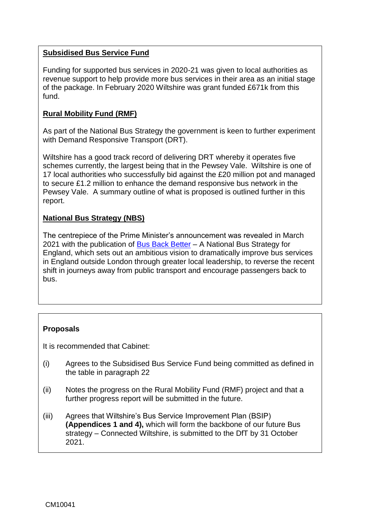#### **Subsidised Bus Service Fund**

Funding for supported bus services in 2020-21 was given to local authorities as revenue support to help provide more bus services in their area as an initial stage of the package. In February 2020 Wiltshire was grant funded £671k from this fund.

## **Rural Mobility Fund (RMF)**

As part of the National Bus Strategy the government is keen to further experiment with Demand Responsive Transport (DRT).

Wiltshire has a good track record of delivering DRT whereby it operates five schemes currently, the largest being that in the Pewsey Vale. Wiltshire is one of 17 local authorities who successfully bid against the £20 million pot and managed to secure £1.2 million to enhance the demand responsive bus network in the Pewsey Vale. A summary outline of what is proposed is outlined further in this report.

## **National Bus Strategy (NBS)**

The centrepiece of the Prime Minister's announcement was revealed in March 2021 with the publication of **Bus Back Better** – A National Bus Strategy for England, which sets out an ambitious vision to dramatically improve bus services in England outside London through greater local leadership, to reverse the recent shift in journeys away from public transport and encourage passengers back to bus.

## **Proposals**

It is recommended that Cabinet:

- (i) Agrees to the Subsidised Bus Service Fund being committed as defined in the table in paragraph 22
- (ii) Notes the progress on the Rural Mobility Fund (RMF) project and that a further progress report will be submitted in the future.
- (iii) Agrees that Wiltshire's Bus Service Improvement Plan (BSIP) **(Appendices 1 and 4),** which will form the backbone of our future Bus strategy – Connected Wiltshire, is submitted to the DfT by 31 October 2021.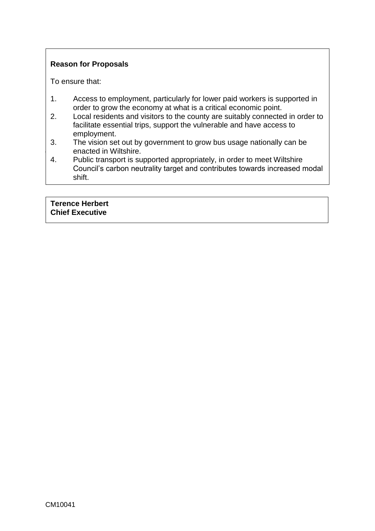## **Reason for Proposals**

To ensure that:

- 1. Access to employment, particularly for lower paid workers is supported in order to grow the economy at what is a critical economic point.
- 2. Local residents and visitors to the county are suitably connected in order to facilitate essential trips, support the vulnerable and have access to employment.
- **Lacker Council Enacted in Wiltshire.** 3. The vision set out by government to grow bus usage nationally can be
- 4. Public transport is supported appropriately, in order to meet Wiltshire Council's carbon neutrality target and contributes towards increased modal shift.

#### **Terence Herbert Chief Executive**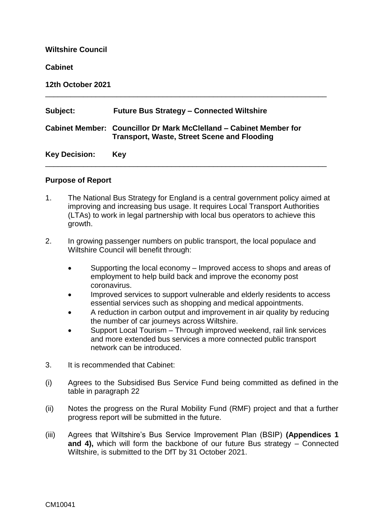| <b>Wiltshire Council</b> |                                                                                                                          |  |  |
|--------------------------|--------------------------------------------------------------------------------------------------------------------------|--|--|
| <b>Cabinet</b>           |                                                                                                                          |  |  |
| 12th October 2021        |                                                                                                                          |  |  |
| Subject:                 | <b>Future Bus Strategy - Connected Wiltshire</b>                                                                         |  |  |
|                          | Cabinet Member: Councillor Dr Mark McClelland – Cabinet Member for<br><b>Transport, Waste, Street Scene and Flooding</b> |  |  |
| <b>Key Decision:</b>     | Key                                                                                                                      |  |  |

#### **Purpose of Report**

- 1. The National Bus Strategy for England is a central government policy aimed at improving and increasing bus usage. It requires Local Transport Authorities (LTAs) to work in legal partnership with local bus operators to achieve this growth.
- 2. In growing passenger numbers on public transport, the local populace and Wiltshire Council will benefit through:
	- Supporting the local economy Improved access to shops and areas of employment to help build back and improve the economy post coronavirus.
	- Improved services to support vulnerable and elderly residents to access essential services such as shopping and medical appointments.
	- A reduction in carbon output and improvement in air quality by reducing the number of car journeys across Wiltshire.
	- Support Local Tourism Through improved weekend, rail link services and more extended bus services a more connected public transport network can be introduced.
- 3. It is recommended that Cabinet:
- (i) Agrees to the Subsidised Bus Service Fund being committed as defined in the table in paragraph 22
- (ii) Notes the progress on the Rural Mobility Fund (RMF) project and that a further progress report will be submitted in the future.
- (iii) Agrees that Wiltshire's Bus Service Improvement Plan (BSIP) **(Appendices 1 and 4),** which will form the backbone of our future Bus strategy – Connected Wiltshire, is submitted to the DfT by 31 October 2021.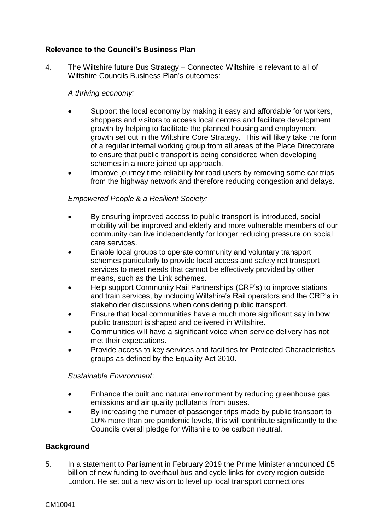## **Relevance to the Council's Business Plan**

4. The Wiltshire future Bus Strategy – Connected Wiltshire is relevant to all of Wiltshire Councils Business Plan's outcomes:

## *A thriving economy:*

- Support the local economy by making it easy and affordable for workers, shoppers and visitors to access local centres and facilitate development growth by helping to facilitate the planned housing and employment growth set out in the Wiltshire Core Strategy. This will likely take the form of a regular internal working group from all areas of the Place Directorate to ensure that public transport is being considered when developing schemes in a more joined up approach.
- Improve journey time reliability for road users by removing some car trips from the highway network and therefore reducing congestion and delays.

#### *Empowered People & a Resilient Society:*

- By ensuring improved access to public transport is introduced, social mobility will be improved and elderly and more vulnerable members of our community can live independently for longer reducing pressure on social care services.
- Enable local groups to operate community and voluntary transport schemes particularly to provide local access and safety net transport services to meet needs that cannot be effectively provided by other means, such as the Link schemes.
- Help support Community Rail Partnerships (CRP's) to improve stations and train services, by including Wiltshire's Rail operators and the CRP's in stakeholder discussions when considering public transport.
- Ensure that local communities have a much more significant say in how public transport is shaped and delivered in Wiltshire.
- Communities will have a significant voice when service delivery has not met their expectations.
- Provide access to key services and facilities for Protected Characteristics groups as defined by the Equality Act 2010.

#### *Sustainable Environment*:

- Enhance the built and natural environment by reducing greenhouse gas emissions and air quality pollutants from buses.
- By increasing the number of passenger trips made by public transport to 10% more than pre pandemic levels, this will contribute significantly to the Councils overall pledge for Wiltshire to be carbon neutral.

## **Background**

5. In a statement to Parliament in February 2019 the Prime Minister announced £5 billion of new funding to overhaul bus and cycle links for every region outside London. He set out a new vision to level up local transport connections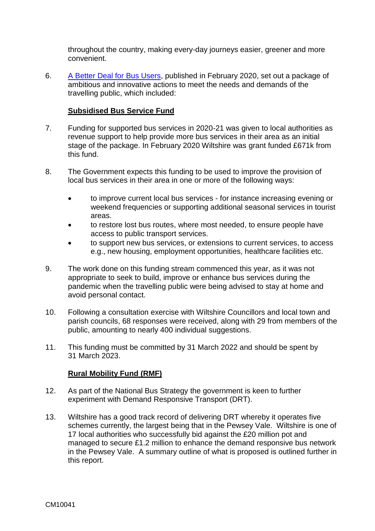throughout the country, making every-day journeys easier, greener and more convenient.

6. [A Better Deal for Bus Users,](https://www.gov.uk/government/publications/a-better-deal-for-bus-users/a-better-deal-for-bus-users) published in February 2020, set out a package of ambitious and innovative actions to meet the needs and demands of the travelling public, which included:

#### **Subsidised Bus Service Fund**

- 7. Funding for supported bus services in 2020-21 was given to local authorities as revenue support to help provide more bus services in their area as an initial stage of the package. In February 2020 Wiltshire was grant funded £671k from this fund.
- 8. The Government expects this funding to be used to improve the provision of local bus services in their area in one or more of the following ways:
	- to improve current local bus services for instance increasing evening or weekend frequencies or supporting additional seasonal services in tourist areas.
	- to restore lost bus routes, where most needed, to ensure people have access to public transport services.
	- to support new bus services, or extensions to current services, to access e.g., new housing, employment opportunities, healthcare facilities etc.
- 9. The work done on this funding stream commenced this year, as it was not appropriate to seek to build, improve or enhance bus services during the pandemic when the travelling public were being advised to stay at home and avoid personal contact.
- 10. Following a consultation exercise with Wiltshire Councillors and local town and parish councils, 68 responses were received, along with 29 from members of the public, amounting to nearly 400 individual suggestions.
- 11. This funding must be committed by 31 March 2022 and should be spent by 31 March 2023.

## **Rural Mobility Fund (RMF)**

- 12. As part of the National Bus Strategy the government is keen to further experiment with Demand Responsive Transport (DRT).
- 13. Wiltshire has a good track record of delivering DRT whereby it operates five schemes currently, the largest being that in the Pewsey Vale. Wiltshire is one of 17 local authorities who successfully bid against the £20 million pot and managed to secure £1.2 million to enhance the demand responsive bus network in the Pewsey Vale. A summary outline of what is proposed is outlined further in this report.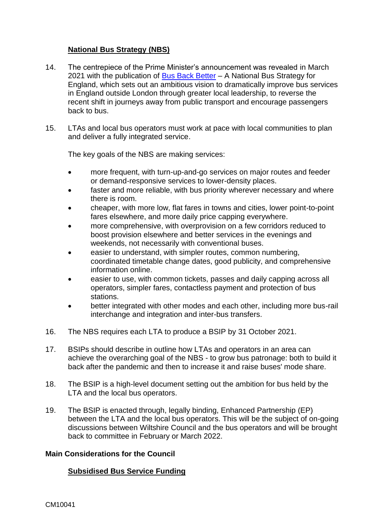## **National Bus Strategy (NBS)**

- 14. The centrepiece of the Prime Minister's announcement was revealed in March 2021 with the publication of [Bus Back Better](https://www.gov.uk/government/publications/bus-back-better) – A National Bus Strategy for England, which sets out an ambitious vision to dramatically improve bus services in England outside London through greater local leadership, to reverse the recent shift in journeys away from public transport and encourage passengers back to bus.
- 15. LTAs and local bus operators must work at pace with local communities to plan and deliver a fully integrated service.

The key goals of the NBS are making services:

- more frequent, with turn-up-and-go services on major routes and feeder or demand-responsive services to lower-density places.
- faster and more reliable, with bus priority wherever necessary and where there is room.
- cheaper, with more low, flat fares in towns and cities, lower point-to-point fares elsewhere, and more daily price capping everywhere.
- more comprehensive, with overprovision on a few corridors reduced to boost provision elsewhere and better services in the evenings and weekends, not necessarily with conventional buses.
- easier to understand, with simpler routes, common numbering, coordinated timetable change dates, good publicity, and comprehensive information online.
- easier to use, with common tickets, passes and daily capping across all operators, simpler fares, contactless payment and protection of bus stations.
- better integrated with other modes and each other, including more bus-rail interchange and integration and inter-bus transfers.
- 16. The NBS requires each LTA to produce a BSIP by 31 October 2021.
- 17. BSIPs should describe in outline how LTAs and operators in an area can achieve the overarching goal of the NBS - to grow bus patronage: both to build it back after the pandemic and then to increase it and raise buses' mode share.
- 18. The BSIP is a high-level document setting out the ambition for bus held by the LTA and the local bus operators.
- 19. The BSIP is enacted through, legally binding, Enhanced Partnership (EP) between the LTA and the local bus operators. This will be the subject of on-going discussions between Wiltshire Council and the bus operators and will be brought back to committee in February or March 2022.

#### **Main Considerations for the Council**

#### **Subsidised Bus Service Funding**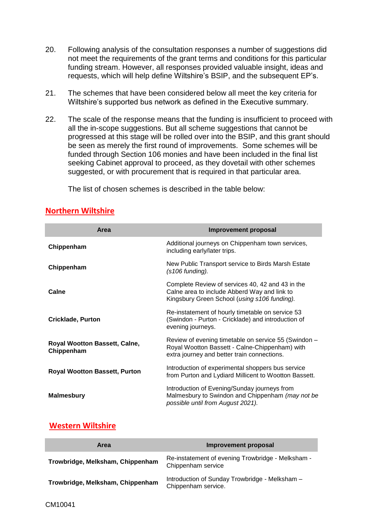- 20. Following analysis of the consultation responses a number of suggestions did not meet the requirements of the grant terms and conditions for this particular funding stream. However, all responses provided valuable insight, ideas and requests, which will help define Wiltshire's BSIP, and the subsequent EP's.
- 21. The schemes that have been considered below all meet the key criteria for Wiltshire's supported bus network as defined in the Executive summary.
- 22. The scale of the response means that the funding is insufficient to proceed with all the in-scope suggestions. But all scheme suggestions that cannot be progressed at this stage will be rolled over into the BSIP, and this grant should be seen as merely the first round of improvements. Some schemes will be funded through Section 106 monies and have been included in the final list seeking Cabinet approval to proceed, as they dovetail with other schemes suggested, or with procurement that is required in that particular area.

The list of chosen schemes is described in the table below:

| Area                                        | Improvement proposal                                                                                                                                  |
|---------------------------------------------|-------------------------------------------------------------------------------------------------------------------------------------------------------|
| Chippenham                                  | Additional journeys on Chippenham town services,<br>including early/later trips.                                                                      |
| Chippenham                                  | New Public Transport service to Birds Marsh Estate<br>$(s106$ funding).                                                                               |
| Calne                                       | Complete Review of services 40, 42 and 43 in the<br>Calne area to include Abberd Way and link to<br>Kingsbury Green School (using s106 funding).      |
| <b>Cricklade, Purton</b>                    | Re-instatement of hourly timetable on service 53<br>(Swindon - Purton - Cricklade) and introduction of<br>evening journeys.                           |
| Royal Wootton Bassett, Calne,<br>Chippenham | Review of evening timetable on service 55 (Swindon -<br>Royal Wootton Bassett - Calne-Chippenham) with<br>extra journey and better train connections. |
| <b>Royal Wootton Bassett, Purton</b>        | Introduction of experimental shoppers bus service<br>from Purton and Lydiard Millicent to Wootton Bassett.                                            |
| <b>Malmesbury</b>                           | Introduction of Evening/Sunday journeys from<br>Malmesbury to Swindon and Chippenham (may not be<br>possible until from August 2021).                 |

## **Northern Wiltshire**

## **Western Wiltshire**

| Area                             | <b>Improvement proposal</b>                                             |  |  |
|----------------------------------|-------------------------------------------------------------------------|--|--|
| Trowbridge, Melksham, Chippenham | Re-instatement of evening Trowbridge - Melksham -<br>Chippenham service |  |  |
| Trowbridge, Melksham, Chippenham | Introduction of Sunday Trowbridge - Melksham -<br>Chippenham service.   |  |  |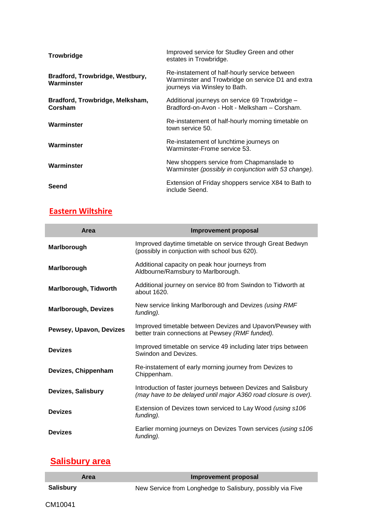| <b>Trowbridge</b>                             | Improved service for Studley Green and other<br>estates in Trowbridge.                                                              |
|-----------------------------------------------|-------------------------------------------------------------------------------------------------------------------------------------|
| Bradford, Trowbridge, Westbury,<br>Warminster | Re-instatement of half-hourly service between<br>Warminster and Trowbridge on service D1 and extra<br>journeys via Winsley to Bath. |
| Bradford, Trowbridge, Melksham,<br>Corsham    | Additional journeys on service 69 Trowbridge –<br>Bradford-on-Avon - Holt - Melksham - Corsham.                                     |
| Warminster                                    | Re-instatement of half-hourly morning timetable on<br>town service 50.                                                              |
| Warminster                                    | Re-instatement of lunchtime journeys on<br>Warminster-Frome service 53.                                                             |
| Warminster                                    | New shoppers service from Chapmanslade to<br>Warminster (possibly in conjunction with 53 change).                                   |
| Seend                                         | Extension of Friday shoppers service X84 to Bath to<br>include Seend.                                                               |

## **Eastern Wiltshire**

| Area                         | <b>Improvement proposal</b>                                                                                                      |
|------------------------------|----------------------------------------------------------------------------------------------------------------------------------|
| Marlborough                  | Improved daytime timetable on service through Great Bedwyn<br>(possibly in conjuction with school bus 620).                      |
| Marlborough                  | Additional capacity on peak hour journeys from<br>Aldbourne/Ramsbury to Marlborough.                                             |
| <b>Marlborough, Tidworth</b> | Additional journey on service 80 from Swindon to Tidworth at<br>about 1620.                                                      |
| <b>Marlborough, Devizes</b>  | New service linking Marlborough and Devizes (using RMF<br>funding).                                                              |
| Pewsey, Upavon, Devizes      | Improved timetable between Devizes and Upavon/Pewsey with<br>better train connections at Pewsey (RMF funded).                    |
| <b>Devizes</b>               | Improved timetable on service 49 including later trips between<br>Swindon and Devizes.                                           |
| Devizes, Chippenham          | Re-instatement of early morning journey from Devizes to<br>Chippenham.                                                           |
| Devizes, Salisbury           | Introduction of faster journeys between Devizes and Salisbury<br>(may have to be delayed until major A360 road closure is over). |
| <b>Devizes</b>               | Extension of Devizes town serviced to Lay Wood (using s106<br>funding).                                                          |
| <b>Devizes</b>               | Earlier morning journeys on Devizes Town services (using s106<br>funding).                                                       |

## **Salisbury area**

| Area             | Improvement proposal                                       |
|------------------|------------------------------------------------------------|
| <b>Salisbury</b> | New Service from Longhedge to Salisbury, possibly via Five |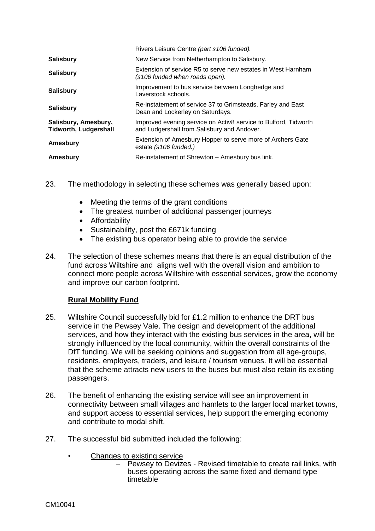|                                                      | Rivers Leisure Centre (part s106 funded).                                                                      |
|------------------------------------------------------|----------------------------------------------------------------------------------------------------------------|
| <b>Salisbury</b>                                     | New Service from Netherhampton to Salisbury.                                                                   |
| <b>Salisbury</b>                                     | Extension of service R5 to serve new estates in West Harnham<br>(s106 funded when roads open).                 |
| <b>Salisbury</b>                                     | Improvement to bus service between Longhedge and<br>Laverstock schools.                                        |
| <b>Salisbury</b>                                     | Re-instatement of service 37 to Grimsteads, Farley and East<br>Dean and Lockerley on Saturdays.                |
| Salisbury, Amesbury,<br><b>Tidworth, Ludgershall</b> | Improved evening service on Activ8 service to Bulford, Tidworth<br>and Ludgershall from Salisbury and Andover. |
| Amesbury                                             | Extension of Amesbury Hopper to serve more of Archers Gate<br>estate (s106 funded.)                            |
| Amesbury                                             | Re-instatement of Shrewton - Amesbury bus link.                                                                |

- 23. The methodology in selecting these schemes was generally based upon:
	- Meeting the terms of the grant conditions
	- The greatest number of additional passenger journeys
	- **•** Affordability
	- Sustainability, post the £671k funding
	- The existing bus operator being able to provide the service
- 24. The selection of these schemes means that there is an equal distribution of the fund across Wiltshire and aligns well with the overall vision and ambition to connect more people across Wiltshire with essential services, grow the economy and improve our carbon footprint.

## **Rural Mobility Fund**

- 25. Wiltshire Council successfully bid for £1.2 million to enhance the DRT bus service in the Pewsey Vale. The design and development of the additional services, and how they interact with the existing bus services in the area, will be strongly influenced by the local community, within the overall constraints of the DfT funding. We will be seeking opinions and suggestion from all age-groups, residents, employers, traders, and leisure / tourism venues. It will be essential that the scheme attracts new users to the buses but must also retain its existing passengers.
- 26. The benefit of enhancing the existing service will see an improvement in connectivity between small villages and hamlets to the larger local market towns, and support access to essential services, help support the emerging economy and contribute to modal shift.
- 27. The successful bid submitted included the following:
	- Changes to existing service
		- Pewsey to Devizes Revised timetable to create rail links, with buses operating across the same fixed and demand type timetable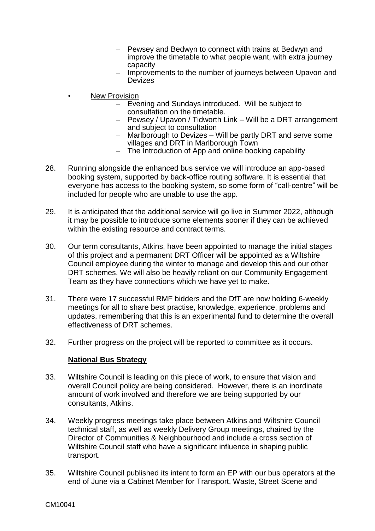- Pewsey and Bedwyn to connect with trains at Bedwyn and improve the timetable to what people want, with extra journey capacity
- Improvements to the number of journeys between Upavon and Devizes
- **New Provision** 
	- Evening and Sundays introduced. Will be subject to consultation on the timetable.
	- Pewsey / Upavon / Tidworth Link Will be a DRT arrangement and subject to consultation
	- Marlborough to Devizes Will be partly DRT and serve some villages and DRT in Marlborough Town
	- The Introduction of App and online booking capability
- 28. Running alongside the enhanced bus service we will introduce an app-based booking system, supported by back-office routing software. It is essential that everyone has access to the booking system, so some form of "call-centre" will be included for people who are unable to use the app.
- 29. It is anticipated that the additional service will go live in Summer 2022, although it may be possible to introduce some elements sooner if they can be achieved within the existing resource and contract terms.
- 30. Our term consultants, Atkins, have been appointed to manage the initial stages of this project and a permanent DRT Officer will be appointed as a Wiltshire Council employee during the winter to manage and develop this and our other DRT schemes. We will also be heavily reliant on our Community Engagement Team as they have connections which we have yet to make.
- 31. There were 17 successful RMF bidders and the DfT are now holding 6-weekly meetings for all to share best practise, knowledge, experience, problems and updates, remembering that this is an experimental fund to determine the overall effectiveness of DRT schemes.
- 32. Further progress on the project will be reported to committee as it occurs.

#### **National Bus Strategy**

- 33. Wiltshire Council is leading on this piece of work, to ensure that vision and overall Council policy are being considered. However, there is an inordinate amount of work involved and therefore we are being supported by our consultants, Atkins.
- 34. Weekly progress meetings take place between Atkins and Wiltshire Council technical staff, as well as weekly Delivery Group meetings, chaired by the Director of Communities & Neighbourhood and include a cross section of Wiltshire Council staff who have a significant influence in shaping public transport.
- 35. Wiltshire Council published its intent to form an EP with our bus operators at the end of June via a Cabinet Member for Transport, Waste, Street Scene and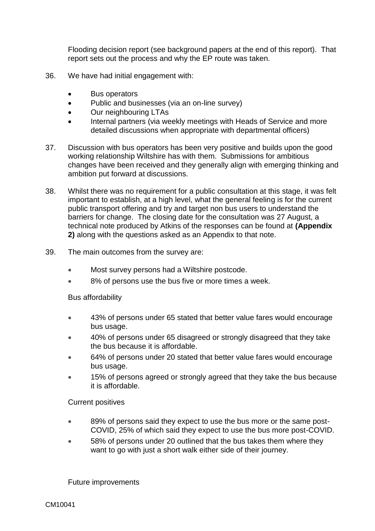Flooding decision report (see background papers at the end of this report). That report sets out the process and why the EP route was taken.

- 36. We have had initial engagement with:
	- Bus operators
	- Public and businesses (via an on-line survey)
	- Our neighbouring LTAs
	- Internal partners (via weekly meetings with Heads of Service and more detailed discussions when appropriate with departmental officers)
- 37. Discussion with bus operators has been very positive and builds upon the good working relationship Wiltshire has with them. Submissions for ambitious changes have been received and they generally align with emerging thinking and ambition put forward at discussions.
- 38. Whilst there was no requirement for a public consultation at this stage, it was felt important to establish, at a high level, what the general feeling is for the current public transport offering and try and target non bus users to understand the barriers for change. The closing date for the consultation was 27 August, a technical note produced by Atkins of the responses can be found at **(Appendix 2)** along with the questions asked as an Appendix to that note.
- 39. The main outcomes from the survey are:
	- Most survey persons had a Wiltshire postcode.
	- 8% of persons use the bus five or more times a week.

#### Bus affordability

- 43% of persons under 65 stated that better value fares would encourage bus usage.
- 40% of persons under 65 disagreed or strongly disagreed that they take the bus because it is affordable.
- 64% of persons under 20 stated that better value fares would encourage bus usage.
- 15% of persons agreed or strongly agreed that they take the bus because it is affordable.

#### Current positives

- 89% of persons said they expect to use the bus more or the same post-COVID, 25% of which said they expect to use the bus more post-COVID.
- 58% of persons under 20 outlined that the bus takes them where they want to go with just a short walk either side of their journey.

Future improvements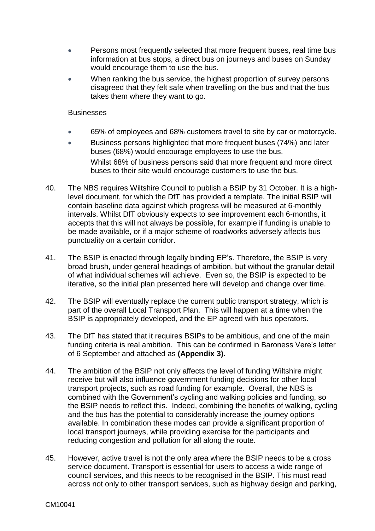- Persons most frequently selected that more frequent buses, real time bus information at bus stops, a direct bus on journeys and buses on Sunday would encourage them to use the bus.
- When ranking the bus service, the highest proportion of survey persons disagreed that they felt safe when travelling on the bus and that the bus takes them where they want to go.

#### **Businesses**

- 65% of employees and 68% customers travel to site by car or motorcycle.
- Business persons highlighted that more frequent buses (74%) and later buses (68%) would encourage employees to use the bus. Whilst 68% of business persons said that more frequent and more direct buses to their site would encourage customers to use the bus.
- 40. The NBS requires Wiltshire Council to publish a BSIP by 31 October. It is a highlevel document, for which the DfT has provided a template. The initial BSIP will contain baseline data against which progress will be measured at 6-monthly intervals. Whilst DfT obviously expects to see improvement each 6-months, it accepts that this will not always be possible, for example if funding is unable to be made available, or if a major scheme of roadworks adversely affects bus punctuality on a certain corridor.
- 41. The BSIP is enacted through legally binding EP's. Therefore, the BSIP is very broad brush, under general headings of ambition, but without the granular detail of what individual schemes will achieve. Even so, the BSIP is expected to be iterative, so the initial plan presented here will develop and change over time.
- 42. The BSIP will eventually replace the current public transport strategy, which is part of the overall Local Transport Plan. This will happen at a time when the BSIP is appropriately developed, and the EP agreed with bus operators.
- 43. The DfT has stated that it requires BSIPs to be ambitious, and one of the main funding criteria is real ambition. This can be confirmed in Baroness Vere's letter of 6 September and attached as **(Appendix 3).**
- 44. The ambition of the BSIP not only affects the level of funding Wiltshire might receive but will also influence government funding decisions for other local transport projects, such as road funding for example. Overall, the NBS is combined with the Government's cycling and walking policies and funding, so the BSIP needs to reflect this. Indeed, combining the benefits of walking, cycling and the bus has the potential to considerably increase the journey options available. In combination these modes can provide a significant proportion of local transport journeys, while providing exercise for the participants and reducing congestion and pollution for all along the route.
- 45. However, active travel is not the only area where the BSIP needs to be a cross service document. Transport is essential for users to access a wide range of council services, and this needs to be recognised in the BSIP. This must read across not only to other transport services, such as highway design and parking,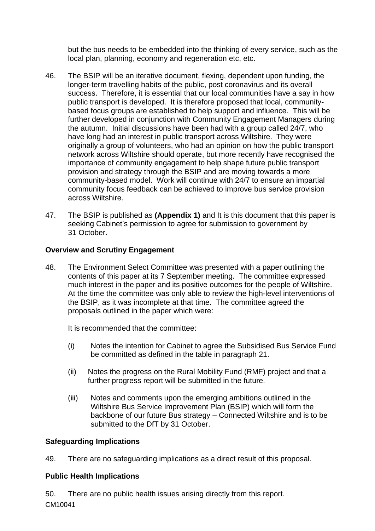but the bus needs to be embedded into the thinking of every service, such as the local plan, planning, economy and regeneration etc, etc.

- 46. The BSIP will be an iterative document, flexing, dependent upon funding, the longer-term travelling habits of the public, post coronavirus and its overall success. Therefore, it is essential that our local communities have a say in how public transport is developed. It is therefore proposed that local, communitybased focus groups are established to help support and influence. This will be further developed in conjunction with Community Engagement Managers during the autumn. Initial discussions have been had with a group called 24/7, who have long had an interest in public transport across Wiltshire. They were originally a group of volunteers, who had an opinion on how the public transport network across Wiltshire should operate, but more recently have recognised the importance of community engagement to help shape future public transport provision and strategy through the BSIP and are moving towards a more community-based model. Work will continue with 24/7 to ensure an impartial community focus feedback can be achieved to improve bus service provision across Wiltshire.
- 47. The BSIP is published as **(Appendix 1)** and It is this document that this paper is seeking Cabinet's permission to agree for submission to government by 31 October.

## **Overview and Scrutiny Engagement**

48. The Environment Select Committee was presented with a paper outlining the contents of this paper at its 7 September meeting. The committee expressed much interest in the paper and its positive outcomes for the people of Wiltshire. At the time the committee was only able to review the high-level interventions of the BSIP, as it was incomplete at that time. The committee agreed the proposals outlined in the paper which were:

It is recommended that the committee:

- (i) Notes the intention for Cabinet to agree the Subsidised Bus Service Fund be committed as defined in the table in paragraph 21.
- (ii) Notes the progress on the Rural Mobility Fund (RMF) project and that a further progress report will be submitted in the future.
- (iii) Notes and comments upon the emerging ambitions outlined in the Wiltshire Bus Service Improvement Plan (BSIP) which will form the backbone of our future Bus strategy – Connected Wiltshire and is to be submitted to the DfT by 31 October.

## **Safeguarding Implications**

49. There are no safeguarding implications as a direct result of this proposal.

## **Public Health Implications**

CM10041 50. There are no public health issues arising directly from this report.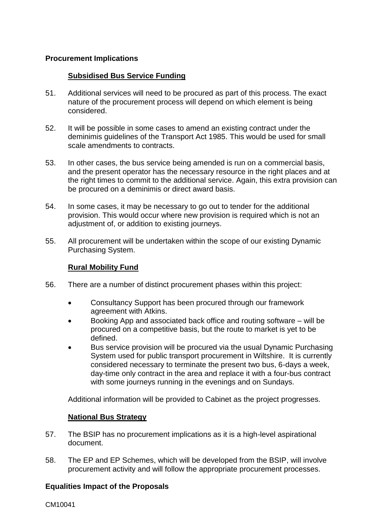## **Procurement Implications**

## **Subsidised Bus Service Funding**

- 51. Additional services will need to be procured as part of this process. The exact nature of the procurement process will depend on which element is being considered.
- 52. It will be possible in some cases to amend an existing contract under the deminimis guidelines of the Transport Act 1985. This would be used for small scale amendments to contracts.
- 53. In other cases, the bus service being amended is run on a commercial basis, and the present operator has the necessary resource in the right places and at the right times to commit to the additional service. Again, this extra provision can be procured on a deminimis or direct award basis.
- 54. In some cases, it may be necessary to go out to tender for the additional provision. This would occur where new provision is required which is not an adjustment of, or addition to existing journeys.
- 55. All procurement will be undertaken within the scope of our existing Dynamic Purchasing System.

## **Rural Mobility Fund**

- 56. There are a number of distinct procurement phases within this project:
	- Consultancy Support has been procured through our framework agreement with Atkins.
	- Booking App and associated back office and routing software will be procured on a competitive basis, but the route to market is yet to be defined.
	- Bus service provision will be procured via the usual Dynamic Purchasing System used for public transport procurement in Wiltshire. It is currently considered necessary to terminate the present two bus, 6-days a week, day-time only contract in the area and replace it with a four-bus contract with some journeys running in the evenings and on Sundays.

Additional information will be provided to Cabinet as the project progresses.

#### **National Bus Strategy**

- 57. The BSIP has no procurement implications as it is a high-level aspirational document.
- 58. The EP and EP Schemes, which will be developed from the BSIP, will involve procurement activity and will follow the appropriate procurement processes.

#### **Equalities Impact of the Proposals**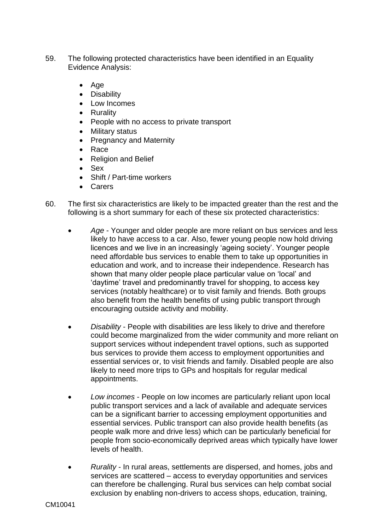- 59. The following protected characteristics have been identified in an Equality Evidence Analysis:
	- $\bullet$  Age
	- **•** Disability
	- Low Incomes
	- Rurality
	- People with no access to private transport
	- Military status
	- Pregnancy and Maternity
	- Race
	- Religion and Belief
	- Sex
	- Shift / Part-time workers
	- Carers
- 60. The first six characteristics are likely to be impacted greater than the rest and the following is a short summary for each of these six protected characteristics:
	- *Age* Younger and older people are more reliant on bus services and less likely to have access to a car. Also, fewer young people now hold driving licences and we live in an increasingly 'ageing society'. Younger people need affordable bus services to enable them to take up opportunities in education and work, and to increase their independence. Research has shown that many older people place particular value on 'local' and 'daytime' travel and predominantly travel for shopping, to access key services (notably healthcare) or to visit family and friends. Both groups also benefit from the health benefits of using public transport through encouraging outside activity and mobility.
	- *Disability* People with disabilities are less likely to drive and therefore could become marginalized from the wider community and more reliant on support services without independent travel options, such as supported bus services to provide them access to employment opportunities and essential services or, to visit friends and family. Disabled people are also likely to need more trips to GPs and hospitals for regular medical appointments.
	- *Low incomes* People on low incomes are particularly reliant upon local public transport services and a lack of available and adequate services can be a significant barrier to accessing employment opportunities and essential services. Public transport can also provide health benefits (as people walk more and drive less) which can be particularly beneficial for people from socio-economically deprived areas which typically have lower levels of health.
	- *Rurality* In rural areas, settlements are dispersed, and homes, jobs and services are scattered – access to everyday opportunities and services can therefore be challenging. Rural bus services can help combat social exclusion by enabling non-drivers to access shops, education, training,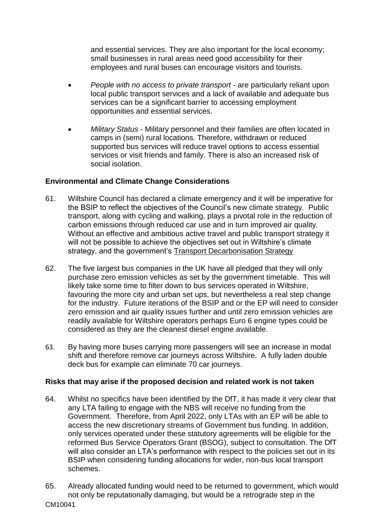and essential services. They are also important for the local economy; small businesses in rural areas need good accessibility for their employees and rural buses can encourage visitors and tourists.

- *People with no access to private transport* are particularly reliant upon local public transport services and a lack of available and adequate bus services can be a significant barrier to accessing employment opportunities and essential services.
- *Military Status* Military personnel and their families are often located in camps in (semi) rural locations. Therefore, withdrawn or reduced supported bus services will reduce travel options to access essential services or visit friends and family. There is also an increased risk of social isolation.

## **Environmental and Climate Change Considerations**

- 61. Wiltshire Council has declared a climate emergency and it will be imperative for the BSIP to reflect the objectives of the Council's new climate strategy. Public transport, along with cycling and walking, plays a pivotal role in the reduction of carbon emissions through reduced car use and in turn improved air quality. Without an effective and ambitious active travel and public transport strategy it will not be possible to achieve the objectives set out in Wiltshire's climate strategy, and the government's [Transport Decarbonisation Strategy](https://eur02.safelinks.protection.outlook.com/?url=https%3A%2F%2Fwww.gov.uk%2Fgovernment%2Fpublications%2Ftransport-decarbonisation-plan&data=04%7C01%7CJason.Salter%40wiltshire.gov.uk%7Cb5b5cb4a6d0245966e6108d97dc8b96b%7C5546e75e3be14813b0ff26651ea2fe19%7C0%7C0%7C637679123314923965%7CUnknown%7CTWFpbGZsb3d8eyJWIjoiMC4wLjAwMDAiLCJQIjoiV2luMzIiLCJBTiI6Ik1haWwiLCJXVCI6Mn0%3D%7C1000&sdata=JFPNpmnnZ2V3smePJSqEO4N3T8jPyHZ%2B4LFmNHaZKy4%3D&reserved=0)
- 62. The five largest bus companies in the UK have all pledged that they will only purchase zero emission vehicles as set by the government timetable. This will likely take some time to filter down to bus services operated in Wiltshire, favouring the more city and urban set ups, but nevertheless a real step change for the industry. Future iterations of the BSIP and or the EP will need to consider zero emission and air quality issues further and until zero emission vehicles are readily available for Wiltshire operators perhaps Euro 6 engine types could be considered as they are the cleanest diesel engine available.
- 63. By having more buses carrying more passengers will see an increase in modal shift and therefore remove car journeys across Wiltshire. A fully laden double deck bus for example can eliminate 70 car journeys.

#### **Risks that may arise if the proposed decision and related work is not taken**

- 64. Whilst no specifics have been identified by the DfT, it has made it very clear that any LTA failing to engage with the NBS will receive no funding from the Government. Therefore, from April 2022, only LTAs with an EP will be able to access the new discretionary streams of Government bus funding. In addition, only services operated under these statutory agreements will be eligible for the reformed Bus Service Operators Grant (BSOG), subject to consultation. The DfT will also consider an LTA's performance with respect to the policies set out in its BSIP when considering funding allocations for wider, non-bus local transport schemes.
- 65. Already allocated funding would need to be returned to government, which would not only be reputationally damaging, but would be a retrograde step in the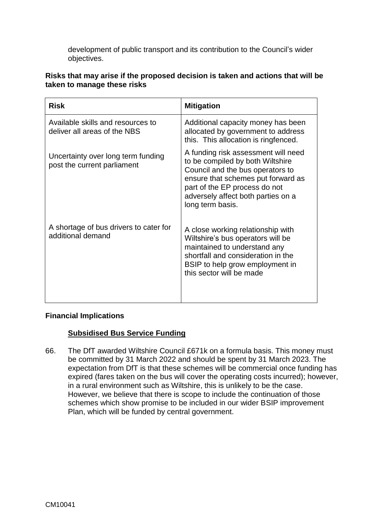development of public transport and its contribution to the Council's wider objectives.

| Risks that may arise if the proposed decision is taken and actions that will be |  |  |
|---------------------------------------------------------------------------------|--|--|
| taken to manage these risks                                                     |  |  |

| <b>Risk</b>                                                       | <b>Mitigation</b>                                                                                                                                                                                                                            |
|-------------------------------------------------------------------|----------------------------------------------------------------------------------------------------------------------------------------------------------------------------------------------------------------------------------------------|
| Available skills and resources to<br>deliver all areas of the NBS | Additional capacity money has been<br>allocated by government to address<br>this. This allocation is ringfenced.                                                                                                                             |
| Uncertainty over long term funding<br>post the current parliament | A funding risk assessment will need<br>to be compiled by both Wiltshire<br>Council and the bus operators to<br>ensure that schemes put forward as<br>part of the EP process do not<br>adversely affect both parties on a<br>long term basis. |
| A shortage of bus drivers to cater for<br>additional demand       | A close working relationship with<br>Wiltshire's bus operators will be<br>maintained to understand any<br>shortfall and consideration in the<br>BSIP to help grow employment in<br>this sector will be made                                  |

#### **Financial Implications**

#### **Subsidised Bus Service Funding**

66. The DfT awarded Wiltshire Council £671k on a formula basis. This money must be committed by 31 March 2022 and should be spent by 31 March 2023. The expectation from DfT is that these schemes will be commercial once funding has expired (fares taken on the bus will cover the operating costs incurred); however, in a rural environment such as Wiltshire, this is unlikely to be the case. However, we believe that there is scope to include the continuation of those schemes which show promise to be included in our wider BSIP improvement Plan, which will be funded by central government.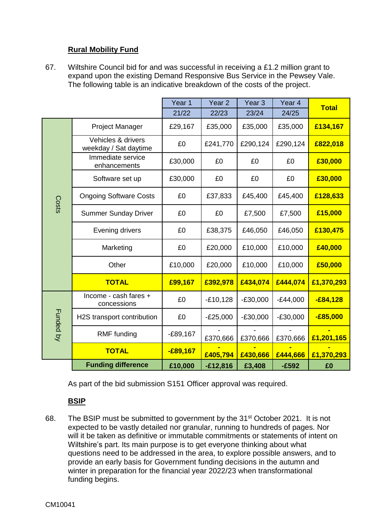## **Rural Mobility Fund**

67. Wiltshire Council bid for and was successful in receiving a £1.2 million grant to expand upon the existing Demand Responsive Bus Service in the Pewsey Vale. The following table is an indicative breakdown of the costs of the project.

|                  |                                             | Year 1     | Year <sub>2</sub> | Year <sub>3</sub> | Year 4     | <b>Total</b> |
|------------------|---------------------------------------------|------------|-------------------|-------------------|------------|--------------|
|                  |                                             | 21/22      | 22/23             | 23/24             | 24/25      |              |
|                  | <b>Project Manager</b>                      | £29,167    | £35,000           | £35,000           | £35,000    | £134,167     |
|                  | Vehicles & drivers<br>weekday / Sat daytime | £0         | £241,770          | £290,124          | £290,124   | £822,018     |
|                  | Immediate service<br>enhancements           | £30,000    | £0                | £0                | £0         | £30,000      |
|                  | Software set up                             | £30,000    | £0                | £0                | £0         | £30,000      |
| Costs            | <b>Ongoing Software Costs</b>               | £0         | £37,833           | £45,400           | £45,400    | £128,633     |
|                  | <b>Summer Sunday Driver</b>                 | £0         | £0                | £7,500            | £7,500     | £15,000      |
|                  | Evening drivers                             | £0         | £38,375           | £46,050           | £46,050    | £130,475     |
|                  | Marketing                                   | £0         | £20,000           | £10,000           | £10,000    | £40,000      |
|                  | Other                                       | £10,000    | £20,000           | £10,000           | £10,000    | £50,000      |
|                  | <b>TOTAL</b>                                | £99,167    | £392,978          | £434,074          | £444,074   | £1,370,293   |
|                  | Income - cash fares +<br>concessions        | £0         | $-£10,128$        | $-£30,000$        | $-E44,000$ | $-£84,128$   |
| <b>Funded by</b> | H2S transport contribution                  | £0         | $-E25,000$        | $-E30,000$        | $-E30,000$ | $-£85,000$   |
|                  | RMF funding                                 | $-E89,167$ | £370,666          | £370,666          | £370,666   | £1,201,165   |
|                  | <b>TOTAL</b>                                | $-£89,167$ | £405,794          | £430,666          | £444,666   | £1,370,293   |
|                  | <b>Funding difference</b>                   | £10,000    | $-£12,816$        | £3,408            | $-£592$    | £0           |

As part of the bid submission S151 Officer approval was required.

## **BSIP**

68. The BSIP must be submitted to government by the 31<sup>st</sup> October 2021. It is not expected to be vastly detailed nor granular, running to hundreds of pages. Nor will it be taken as definitive or immutable commitments or statements of intent on Wiltshire's part. Its main purpose is to get everyone thinking about what questions need to be addressed in the area, to explore possible answers, and to provide an early basis for Government funding decisions in the autumn and winter in preparation for the financial year 2022/23 when transformational funding begins.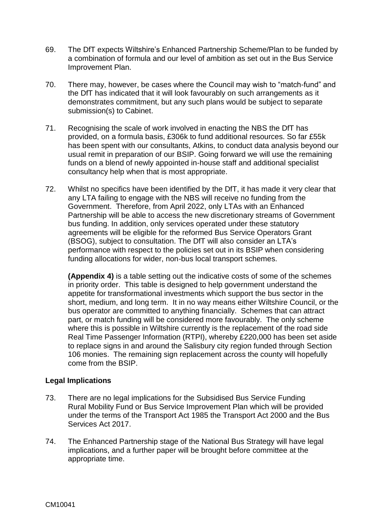- 69. The DfT expects Wiltshire's Enhanced Partnership Scheme/Plan to be funded by a combination of formula and our level of ambition as set out in the Bus Service Improvement Plan.
- 70. There may, however, be cases where the Council may wish to "match-fund" and the DfT has indicated that it will look favourably on such arrangements as it demonstrates commitment, but any such plans would be subject to separate submission(s) to Cabinet.
- 71. Recognising the scale of work involved in enacting the NBS the DfT has provided, on a formula basis, £306k to fund additional resources. So far £55k has been spent with our consultants, Atkins, to conduct data analysis beyond our usual remit in preparation of our BSIP. Going forward we will use the remaining funds on a blend of newly appointed in-house staff and additional specialist consultancy help when that is most appropriate.
- 72. Whilst no specifics have been identified by the DfT, it has made it very clear that any LTA failing to engage with the NBS will receive no funding from the Government. Therefore, from April 2022, only LTAs with an Enhanced Partnership will be able to access the new discretionary streams of Government bus funding. In addition, only services operated under these statutory agreements will be eligible for the reformed Bus Service Operators Grant (BSOG), subject to consultation. The DfT will also consider an LTA's performance with respect to the policies set out in its BSIP when considering funding allocations for wider, non-bus local transport schemes.

**(Appendix 4)** is a table setting out the indicative costs of some of the schemes in priority order. This table is designed to help government understand the appetite for transformational investments which support the bus sector in the short, medium, and long term. It in no way means either Wiltshire Council, or the bus operator are committed to anything financially. Schemes that can attract part, or match funding will be considered more favourably. The only scheme where this is possible in Wiltshire currently is the replacement of the road side Real Time Passenger Information (RTPI), whereby £220,000 has been set aside to replace signs in and around the Salisbury city region funded through Section 106 monies. The remaining sign replacement across the county will hopefully come from the BSIP.

#### **Legal Implications**

- 73. There are no legal implications for the Subsidised Bus Service Funding Rural Mobility Fund or Bus Service Improvement Plan which will be provided under the terms of the Transport Act 1985 the Transport Act 2000 and the Bus Services Act 2017.
- 74. The Enhanced Partnership stage of the National Bus Strategy will have legal implications, and a further paper will be brought before committee at the appropriate time.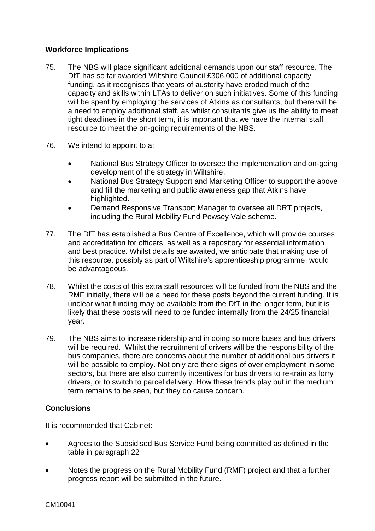## **Workforce Implications**

- 75. The NBS will place significant additional demands upon our staff resource. The DfT has so far awarded Wiltshire Council £306,000 of additional capacity funding, as it recognises that years of austerity have eroded much of the capacity and skills within LTAs to deliver on such initiatives. Some of this funding will be spent by employing the services of Atkins as consultants, but there will be a need to employ additional staff, as whilst consultants give us the ability to meet tight deadlines in the short term, it is important that we have the internal staff resource to meet the on-going requirements of the NBS.
- 76. We intend to appoint to a:
	- National Bus Strategy Officer to oversee the implementation and on-going development of the strategy in Wiltshire.
	- National Bus Strategy Support and Marketing Officer to support the above and fill the marketing and public awareness gap that Atkins have highlighted.
	- Demand Responsive Transport Manager to oversee all DRT projects, including the Rural Mobility Fund Pewsey Vale scheme.
- 77. The DfT has established a Bus Centre of Excellence, which will provide courses and accreditation for officers, as well as a repository for essential information and best practice. Whilst details are awaited, we anticipate that making use of this resource, possibly as part of Wiltshire's apprenticeship programme, would be advantageous.
- 78. Whilst the costs of this extra staff resources will be funded from the NBS and the RMF initially, there will be a need for these posts beyond the current funding. It is unclear what funding may be available from the DfT in the longer term, but it is likely that these posts will need to be funded internally from the 24/25 financial year.
- 79. The NBS aims to increase ridership and in doing so more buses and bus drivers will be required. Whilst the recruitment of drivers will be the responsibility of the bus companies, there are concerns about the number of additional bus drivers it will be possible to employ. Not only are there signs of over employment in some sectors, but there are also currently incentives for bus drivers to re-train as lorry drivers, or to switch to parcel delivery. How these trends play out in the medium term remains to be seen, but they do cause concern.

## **Conclusions**

It is recommended that Cabinet:

- Agrees to the Subsidised Bus Service Fund being committed as defined in the table in paragraph 22
- Notes the progress on the Rural Mobility Fund (RMF) project and that a further progress report will be submitted in the future.